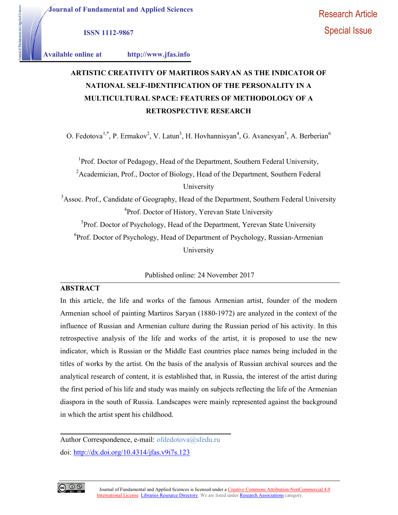Journal of Fundamental and Applied Sciences

ISSN 1112-9867

aertal and Applied Sciences

# Available online at http://www.jfas.info

# ARTISTIC CREATIVITY OF MARTIROS SARYAN AS THE INDICATOR OF NATIONAL SELF-IDENTIFICATION OF THE PERSONALITY IN A MULTICULTURAL SPACE: FEATURES OF METHODOLOGY OF A RETROSPECTIVE RESEARCH

O. Fedotova<sup>1,\*</sup>, P. Ermakov<sup>2</sup>, V. Latun<sup>3</sup>, H. Hovhannisyan<sup>4</sup>, G. Avanesyan<sup>5</sup>, A. Berberian<sup>6</sup>

 $1$ Prof. Doctor of Pedagogy, Head of the Department, Southern Federal University,

<sup>2</sup> Academician, Prof., Doctor of Biology, Head of the Department, Southern Federal University

<sup>3</sup>Assoc. Prof., Candidate of Geography, Head of the Department, Southern Federal University <sup>4</sup>Prof. Doctor of History, Yerevan State University

 ${}^{5}$ Prof. Doctor of Psychology, Head of the Department, Yerevan State University  ${}^{6}P$ rof. Doctor of Psychology, Head of Department of Psychology, Russian-Armenian University

Published online: 24 November 2017

# ABSTRACT

In this article, the life and works of the famous Armenian artist, founder of the modern Armenian school of painting Martiros Saryan (1880-1972) are analyzed in the context of the influence of Russian and Armenian culture during the Russian period of his activity. In this retrospective analysis of the life and works of the artist, it is proposed to use the new indicator, which is Russian or the Middle East countries place names being included in the titles of works by the artist. On the basis of the analysis of Russian archival sources and the analytical research of content, it is established that, in Russia, the interest of the artist during the first period of his life and study was mainly on subjects reflecting the life of the Armenian diaspora in the south of Russia. Landscapes were mainly represented against the background in which the artist spent his childhood.

Author Correspondence, e-mail: ofdedotova@sfedu.ru doi: http://dx.doi.org/10.4314/jfas.v9i7s.123

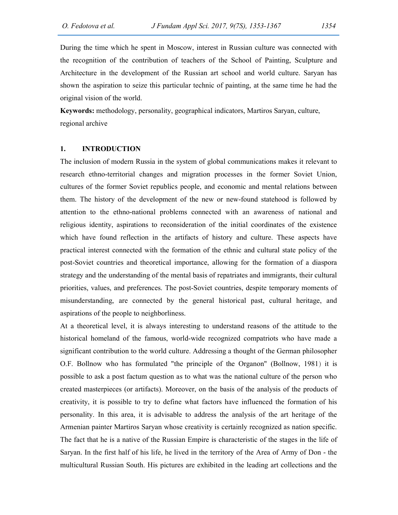During the time which he spent in Moscow, interest in Russian culture was connected with the recognition of the contribution of teachers of the School of Painting, Sculpture and Architecture in the development of the Russian art school and world culture. Saryan has shown the aspiration to seize this particular technic of painting, at the same time he had the original vision of the world.

Keywords: methodology, personality, geographical indicators, Martiros Saryan, culture, regional archive

# 1. INTRODUCTION

The inclusion of modern Russia in the system of global communications makes it relevant to research ethno-territorial changes and migration processes in the former Soviet Union, cultures of the former Soviet republics people, and economic and mental relations between them. The history of the development of the new or new-found statehood is followed by attention to the ethno-national problems connected with an awareness of national and religious identity, aspirations to reconsideration of the initial coordinates of the existence which have found reflection in the artifacts of history and culture. These aspects have practical interest connected with the formation of the ethnic and cultural state policy of the post-Soviet countries and theoretical importance, allowing for the formation of a diaspora strategy and the understanding of the mental basis of repatriates and immigrants, their cultural priorities, values, and preferences. The post-Soviet countries, despite temporary moments of misunderstanding, are connected by the general historical past, cultural heritage, and aspirations of the people to neighborliness.

At a theoretical level, it is always interesting to understand reasons of the attitude to the historical homeland of the famous, world-wide recognized compatriots who have made a significant contribution to the world culture. Addressing a thought of the German philosopher O.F. Bollnow who has formulated "the principle of the Organon" (Bollnow, 1981) it is possible to ask a post factum question as to what was the national culture of the person who created masterpieces (or artifacts). Moreover, on the basis of the analysis of the products of creativity, it is possible to try to define what factors have influenced the formation of his personality. In this area, it is advisable to address the analysis of the art heritage of the Armenian painter Martiros Saryan whose creativity is certainly recognized as nation specific. The fact that he is a native of the Russian Empire is characteristic of the stages in the life of Saryan. In the first half of his life, he lived in the territory of the Area of Army of Don - the multicultural Russian South. His pictures are exhibited in the leading art collections and the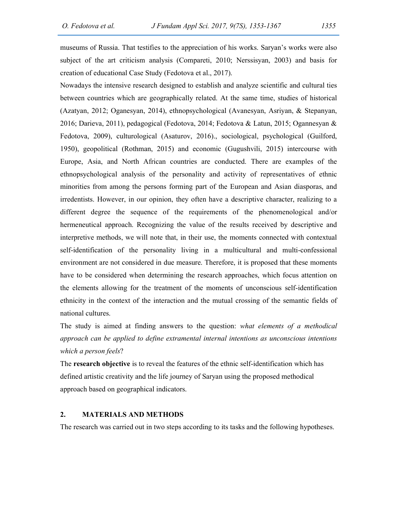museums of Russia. That testifies to the appreciation of his works. Saryan's works were also subject of the art criticism analysis (Compareti, 2010; Nerssisyan, 2003) and basis for creation of educational Case Study (Fedotova et al., 2017).

Nowadays the intensive research designed to establish and analyze scientific and cultural ties between countries which are geographically related. At the same time, studies of historical (Azatyan, 2012; Oganesyan, 2014), ethnopsychological (Avanesyan, Asriyan, & Stepanyan, 2016; Darieva, 2011), pedagogical (Fedotova, 2014; Fedotova & Latun, 2015; Ogannesyan & Fedotova, 2009), culturological (Asaturov, 2016)., sociological, psychological (Guilford, 1950), geopolitical (Rothman, 2015) and economic (Gugushvili, 2015) intercourse with Europe, Asia, and North African countries are conducted. There are examples of the ethnopsychological analysis of the personality and activity of representatives of ethnic minorities from among the persons forming part of the European and Asian diasporas, and irredentists. However, in our opinion, they often have a descriptive character, realizing to a different degree the sequence of the requirements of the phenomenological and/or hermeneutical approach. Recognizing the value of the results received by descriptive and interpretive methods, we will note that, in their use, the moments connected with contextual self-identification of the personality living in a multicultural and multi-confessional environment are not considered in due measure. Therefore, it is proposed that these moments have to be considered when determining the research approaches, which focus attention on the elements allowing for the treatment of the moments of unconscious self-identification ethnicity in the context of the interaction and the mutual crossing of the semantic fields of national cultures.

The study is aimed at finding answers to the question: what elements of a methodical approach can be applied to define extramental internal intentions as unconscious intentions which a person feels?

The research objective is to reveal the features of the ethnic self-identification which has defined artistic creativity and the life journey of Saryan using the proposed methodical approach based on geographical indicators.

# 2. MATERIALS AND METHODS

The research was carried out in two steps according to its tasks and the following hypotheses.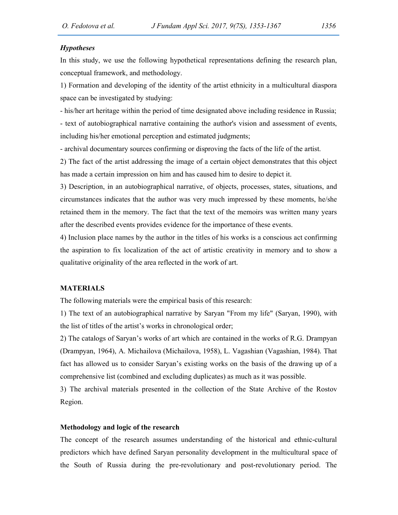## **Hypotheses**

In this study, we use the following hypothetical representations defining the research plan, conceptual framework, and methodology.

1) Formation and developing of the identity of the artist ethnicity in a multicultural diaspora space can be investigated by studying:

- his/her art heritage within the period of time designated above including residence in Russia; - text of autobiographical narrative containing the author's vision and assessment of events, including his/her emotional perception and estimated judgments;

- archival documentary sources confirming or disproving the facts of the life of the artist.

2) The fact of the artist addressing the image of a certain object demonstrates that this object has made a certain impression on him and has caused him to desire to depict it.

3) Description, in an autobiographical narrative, of objects, processes, states, situations, and circumstances indicates that the author was very much impressed by these moments, he/she retained them in the memory. The fact that the text of the memoirs was written many years after the described events provides evidence for the importance of these events.

4) Inclusion place names by the author in the titles of his works is a conscious act confirming the aspiration to fix localization of the act of artistic creativity in memory and to show a qualitative originality of the area reflected in the work of art.

## MATERIALS

The following materials were the empirical basis of this research:

1) The text of an autobiographical narrative by Saryan "From my life" (Saryan, 1990), with the list of titles of the artist's works in chronological order;

2) The catalogs of Saryan's works of art which are contained in the works of R.G. Drampyan (Drampyan, 1964), A. Michailova (Michailova, 1958), L. Vagashian (Vagashian, 1984). That fact has allowed us to consider Saryan's existing works on the basis of the drawing up of a comprehensive list (combined and excluding duplicates) as much as it was possible.

3) The archival materials presented in the collection of the State Archive of the Rostov Region.

## Methodology and logic of the research

The concept of the research assumes understanding of the historical and ethnic-cultural predictors which have defined Saryan personality development in the multicultural space of the South of Russia during the pre-revolutionary and post-revolutionary period. The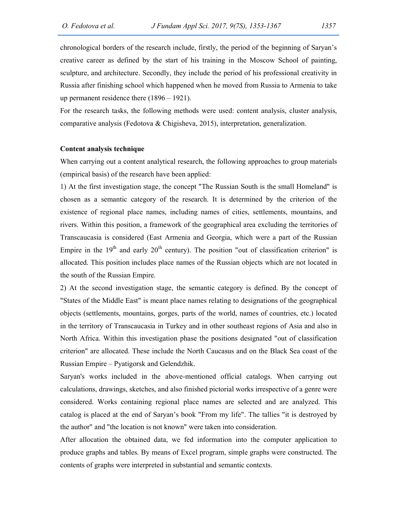chronological borders of the research include, firstly, the period of the beginning of Saryan's creative career as defined by the start of his training in the Moscow School of painting, sculpture, and architecture. Secondly, they include the period of his professional creativity in Russia after finishing school which happened when he moved from Russia to Armenia to take up permanent residence there (1896 – 1921).

For the research tasks, the following methods were used: content analysis, cluster analysis, comparative analysis (Fedotova & Chigisheva, 2015), interpretation, generalization.

#### Content analysis technique

When carrying out a content analytical research, the following approaches to group materials (empirical basis) of the research have been applied:

1) At the first investigation stage, the concept "The Russian South is the small Homeland" is chosen as a semantic category of the research. It is determined by the criterion of the existence of regional place names, including names of cities, settlements, mountains, and rivers. Within this position, a framework of the geographical area excluding the territories of Transcaucasia is considered (East Armenia and Georgia, which were a part of the Russian Empire in the  $19<sup>th</sup>$  and early  $20<sup>th</sup>$  century). The position "out of classification criterion" is allocated. This position includes place names of the Russian objects which are not located in the south of the Russian Empire.

2) At the second investigation stage, the semantic category is defined. By the concept of "States of the Middle East" is meant place names relating to designations of the geographical objects (settlements, mountains, gorges, parts of the world, names of countries, etc.) located in the territory of Transcaucasia in Turkey and in other southeast regions of Asia and also in North Africa. Within this investigation phase the positions designated "out of classification criterion" are allocated. These include the North Caucasus and on the Black Sea coast of the Russian Empire – Pyatigorsk and Gelendzhik.

Saryan's works included in the above-mentioned official catalogs. When carrying out calculations, drawings, sketches, and also finished pictorial works irrespective of a genre were considered. Works containing regional place names are selected and are analyzed. This catalog is placed at the end of Saryan's book "From my life". The tallies "it is destroyed by the author" and "the location is not known" were taken into consideration.

After allocation the obtained data, we fed information into the computer application to produce graphs and tables. By means of Excel program, simple graphs were constructed. The contents of graphs were interpreted in substantial and semantic contexts.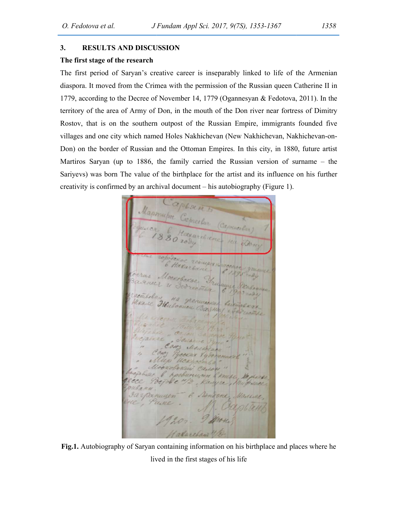## 3. RESULTS AND DISCUSSION

# The first stage of the research

The first period of Saryan's creative career is inseparably linked to life of the Armenian diaspora. It moved from the Crimea with the permission of the Russian queen Catherine II in 1779, according to the Decree of November 14, 1779 (Ogannesyan & Fedotova, 2011). In the territory of the area of Army of Don, in the mouth of the Don river near fortress of Dimitry Rostov, that is on the southern outpost of the Russian Empire, immigrants founded five villages and one city which named Holes Nakhichevan (New Nakhichevan, Nakhichevan Don) on the border of Russian and the Ottoman Empires. In this city, in 1880, future artist Don) on the border of Russian and the Ottoman Empires. In this city, in 1880, future artist<br>Martiros Saryan (up to 1886, the family carried the Russian version of surname – the Sariyevs) was born The value of the birthplace for the artist and its influence on his further creativity is confirmed by an archival document – his autobiography (Figure 1). diaspora. It moved from the Crimea with the permission of the Russian queen Catherine II in<br>1779, according to the Decree of November 14, 1779 (Ogannesyan & Fedotova, 2011). In the<br>territory of the area of Army of Don, in The first period of Saryan's creative career is inseparably linked to life of the Armenian diaspora. It moved from the Crimea with the permission of the Russian queen Catherine II in 1779, according to the Decree of Novemb

*S Friedrich steps 186, 2017, 978), 1353-1367*<br> **DISCUSSION**<br> **DISCUSSION**<br> **Carrier Contex is inseparably linked to life of the Armenian<br>
an's creative carrer is inseparably linked to life of the Armenian<br>
the Crimea wit** Sariyevs) was born The value of the birthplace for the artist and its influence on his further<br>reactivity is confirmed by an archival document—his autobiography (Figure 1).<br>  $\frac{d}{dx}$   $\frac{d}{dx}$   $\frac{d}{dx}$   $\frac{d}{dx}$   $\frac{d}{dx$ 

Fig.1. Autobiography of Saryan containing information on his birthplace and places where he lived in the first stages of his life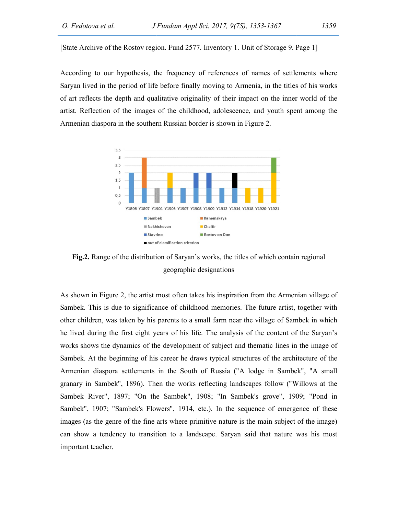[State Archive of the Rostov region. Fund 2577. Inventory 1. Unit of Storage 9. Page 1]

According to our hypothesis, the frequency of references of names of settlements where Saryan lived in the period of life before finally moving to Armenia, in the titles of his works of art reflects the depth and qualitative originality of their impact on the inner world of the artist. Reflection of the images of the childhood, adolescence, and youth spent among the Armenian diaspora in the southern Russian border is shown in Figure 2.



Fig.2. Range of the distribution of Saryan's works, the titles of which contain regional geographic designations

As shown in Figure 2, the artist most often takes his inspiration from the Armenian village of Sambek. This is due to significance of childhood memories. The future artist, together with other children, was taken by his parents to a small farm near the village of Sambek in which<br>he lived during the first eight years of his life. The analysis of the content of the Saryan's he lived during the first eight years of his life. The analysis of the content of the Saryan's works shows the dynamics of the development of subject and thematic lines in the image of Sambek. At the beginning of his career he draws typical structures of the architecture of the Armenian diaspora settlements in the South of Russia ("A lodge in Sambek", "A small granary in Sambek", 1896). Then the works reflecting landscapes follow ("Willows at the Sambek River", 1897; "On the Sambek", 1908; "In Sambek's grove", 1909; "Pond in Sambek", 1907; "Sambek's Flowers", 1914, etc.). In the sequence of emergence of these images (as the genre of the fine arts where primitive nature is the main subject of the image) can show a tendency to transition to a landscape. Saryan said that nature was his most important teacher. Federico et al. *a Diversion Appl* Sct. 2017, 9/25). 1333-1367 (339).<br>
A Accitive of the Rostov region 1 und 2577. Inventory 1. Unit of Storage 9. Page 1]<br>
Incling to our hypothesis, the frequency of references of manus o [State Archive of the Rostov region. Fund 2577. Inventory 1. Unit of Storage 9. Page 1]<br>According to our hypothesis, the frequency of references of names of settlements where<br>Saryan lived in the period of life before fina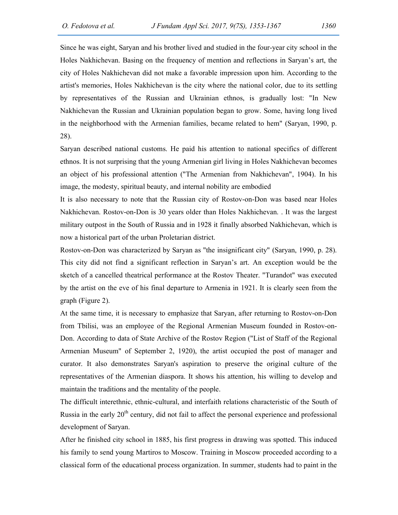Since he was eight, Saryan and his brother lived and studied in the four-year city school in the Holes Nakhichevan. Basing on the frequency of mention and reflections in Saryan's art, the city of Holes Nakhichevan did not make a favorable impression upon him. According to the artist's memories, Holes Nakhichevan is the city where the national color, due to its settling by representatives of the Russian and Ukrainian ethnos, is gradually lost: "In New Nakhichevan the Russian and Ukrainian population began to grow. Some, having long lived in the neighborhood with the Armenian families, became related to hem" (Saryan, 1990, p. 28).

Saryan described national customs. He paid his attention to national specifics of different ethnos. It is not surprising that the young Armenian girl living in Holes Nakhichevan becomes an object of his professional attention ("The Armenian from Nakhichevan", 1904). In his image, the modesty, spiritual beauty, and internal nobility are embodied

It is also necessary to note that the Russian city of Rostov-on-Don was based near Holes Nakhichevan. Rostov-on-Don is 30 years older than Holes Nakhichevan. . It was the largest military outpost in the South of Russia and in 1928 it finally absorbed Nakhichevan, which is now a historical part of the urban Proletarian district.

Rostov-on-Don was characterized by Saryan as "the insignificant city" (Saryan, 1990, p. 28). This city did not find a significant reflection in Saryan's art. An exception would be the sketch of a cancelled theatrical performance at the Rostov Theater. "Turandot" was executed by the artist on the eve of his final departure to Armenia in 1921. It is clearly seen from the graph (Figure 2).

At the same time, it is necessary to emphasize that Saryan, after returning to Rostov-on-Don from Tbilisi, was an employee of the Regional Armenian Museum founded in Rostov-on-Don. According to data of State Archive of the Rostov Region ("List of Staff of the Regional Armenian Museum" of September 2, 1920), the artist occupied the post of manager and curator. It also demonstrates Saryan's aspiration to preserve the original culture of the representatives of the Armenian diaspora. It shows his attention, his willing to develop and maintain the traditions and the mentality of the people.

The difficult interethnic, ethnic-cultural, and interfaith relations characteristic of the South of Russia in the early 20<sup>th</sup> century, did not fail to affect the personal experience and professional development of Saryan.

After he finished city school in 1885, his first progress in drawing was spotted. This induced his family to send young Martiros to Moscow. Training in Moscow proceeded according to a classical form of the educational process organization. In summer, students had to paint in the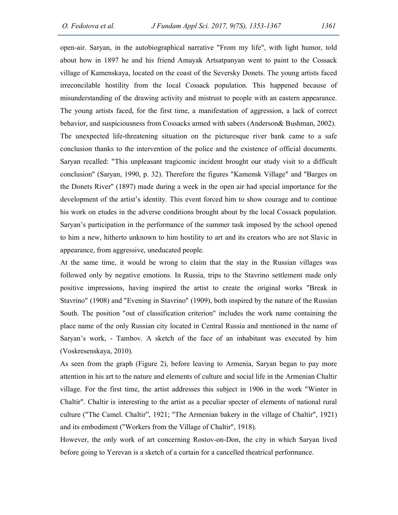open-air. Saryan, in the autobiographical narrative "From my life", with light humor, told about how in 1897 he and his friend Amayak Artsatpanyan went to paint to the Cossack village of Kamenskaya, located on the coast of the Seversky Donets. The young artists faced irreconcilable hostility from the local Cossack population. This happened because of misunderstanding of the drawing activity and mistrust to people with an eastern appearance. The young artists faced, for the first time, a manifestation of aggression, a lack of correct behavior, and suspiciousness from Cossacks armed with sabers (Anderson& Bushman, 2002). The unexpected life-threatening situation on the picturesque river bank came to a safe conclusion thanks to the intervention of the police and the existence of official documents. Saryan recalled: "This unpleasant tragicomic incident brought our study visit to a difficult conclusion" (Saryan, 1990, p. 32). Therefore the figures "Kamensk Village" and "Barges on the Donets River" (1897) made during a week in the open air had special importance for the development of the artist's identity. This event forced him to show courage and to continue his work on etudes in the adverse conditions brought about by the local Cossack population. Saryan's participation in the performance of the summer task imposed by the school opened to him a new, hitherto unknown to him hostility to art and its creators who are not Slavic in appearance, from aggressive, uneducated people.

At the same time, it would be wrong to claim that the stay in the Russian villages was followed only by negative emotions. In Russia, trips to the Stavrino settlement made only positive impressions, having inspired the artist to create the original works "Break in Stavrino" (1908) and "Evening in Stavrino" (1909), both inspired by the nature of the Russian South. The position "out of classification criterion" includes the work name containing the place name of the only Russian city located in Central Russia and mentioned in the name of Saryan's work, - Tambov. A sketch of the face of an inhabitant was executed by him (Voskresenskaya, 2010).

As seen from the graph (Figure 2), before leaving to Armenia, Saryan began to pay more attention in his art to the nature and elements of culture and social life in the Armenian Chaltir village. For the first time, the artist addresses this subject in 1906 in the work "Winter in Chaltir". Chaltir is interesting to the artist as a peculiar specter of elements of national rural culture ("The Camel. Chaltir", 1921; "The Armenian bakery in the village of Chaltir", 1921) and its embodiment ("Workers from the Village of Chaltir", 1918).

However, the only work of art concerning Rostov-on-Don, the city in which Saryan lived before going to Yerevan is a sketch of a curtain for a cancelled theatrical performance.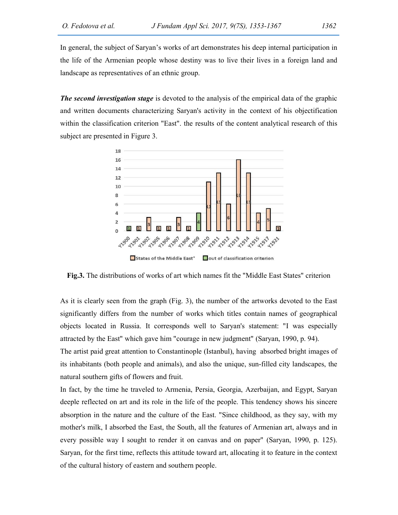In general, the subject of Saryan's works of art demonstrates his deep internal participation in the life of the Armenian people whose destiny was to live their lives in a foreign land and landscape as representatives of an ethnic group.

**The second investigation stage** is devoted to the analysis of the empirical data of the graphic and written documents characterizing Saryan's activity in the context of his objectification within the classification criterion "East". the results of the content analytical research of this subject are presented in Figure 3.



Fig.3. The distributions of works of art which names fit the "Middle East States" criterion

As it is clearly seen from the graph (Fig. 3), the number of the artworks devoted to the East significantly differs from the number of works which titles contain names of geographical objects located in Russia. It corresponds well to Saryan's statement: "I was especially attracted by the East" which gave him "courage in new judgment" (Saryan, 1990, p. 94).

The artist paid great attention to Constantinople (Istanbul), having absorbed bright images of its inhabitants (both people and animals), and also the unique, sun-filled city landscapes, the natural southern gifts of flowers and fruit.

In fact, by the time he traveled to Armenia, Persia, Georgia, Azerbaijan, and Egypt, Saryan deeple reflected on art and its role in the life of the people. This tendency shows his sincere absorption in the nature and the culture of the East. "Since childhood, as they say, with my mother's milk, I absorbed the East, the South, all the features of Armenian art, always and in every possible way I sought to render it on canvas and on paper" (Saryan, 1990, p. 125). Saryan, for the first time, reflects this attitude toward art, allocating it to feature in the context of the cultural history of eastern and southern people.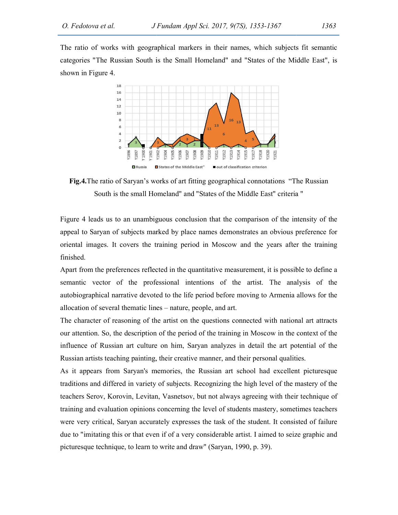The ratio of works with geographical markers in their names, which subjects fit semantic categories "The Russian South is the Small Homeland" and "States of the Middle East", is shown in Figure 4.



Fig.4.The ratio of Saryan's works of art fitting geographical connotations "The Russian South is the small Homeland" and "States of the Middle East" criteria "

Figure 4 leads us to an unambiguous conclusion that the comparison of the intensity of the appeal to Saryan of subjects marked by place names demonstrates an obvious preference for oriental images. It covers the training period in Moscow and the years after the training finished.

Apart from the preferences reflected in the quantitative measurement, it is possible to define a semantic vector of the professional intentions of the artist. The analysis of the autobiographical narrative devoted to the life period before moving to Armenia allows for the allocation of several thematic lines – nature, people, and art. Figure 4 leads us to an unambiguous conclusion that the comparison of the intensity of the appeal to Saryan of subjects marked by place names demonstrates an obvious preference for oriental images. It covers the training p

The character of reasoning of the artist on the questions connected with national art attracts our attention. So, the description of the period of the training in Moscow in the context of the influence of Russian art cultu our attention. So, the description of the period of the training in Moscow in the context of the influence of Russian art culture on him, Saryan analyzes in detail the art potential of the Russian artists teaching painting, their creative manner, and their per

As it appears from Saryan's memories, the Russian art school had excellent picturesque traditions and differed in variety of subjects. Recognizing the high level of the mastery of the As it appears from Saryan's memories, the Russian art school had excellent picturesque<br>traditions and differed in variety of subjects. Recognizing the high level of the mastery of the<br>teachers Serov, Korovin, Levitan, Vasn training and evaluation opinions concerning the level of students mastery, sometimes teachers were very critical, Saryan accurately expresses the task of the student. It consisted of failure due to "imitating this or that even if of a very considerable artist. I aimed to seize graphic and picturesque technique, to learn to write and draw" (Saryan, 1990, p. 39). O. Probabov et al.  $\mu$  B coulser Appl 8rd. 2017, 9(78), 1353-1367 (1363)<br>
The mini of sevels with geographical murders in their mannes, which subjects fit semunitie<br>
the mini of sevels with the small Homeland" and "State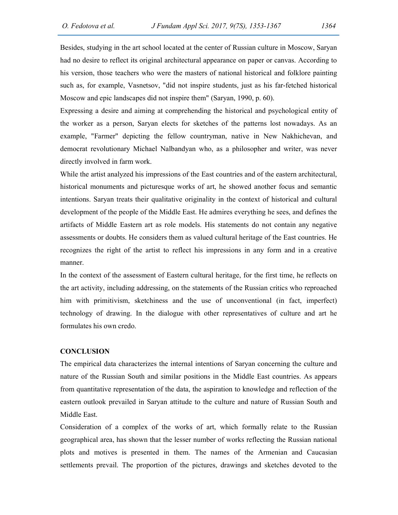Besides, studying in the art school located at the center of Russian culture in Moscow, Saryan had no desire to reflect its original architectural appearance on paper or canvas. According to his version, those teachers who were the masters of national historical and folklore painting such as, for example, Vasnetsov, "did not inspire students, just as his far-fetched historical Moscow and epic landscapes did not inspire them" (Saryan, 1990, p. 60).

Expressing a desire and aiming at comprehending the historical and psychological entity of the worker as a person, Saryan elects for sketches of the patterns lost nowadays. As an example, "Farmer" depicting the fellow countryman, native in New Nakhichevan, and democrat revolutionary Michael Nalbandyan who, as a philosopher and writer, was never directly involved in farm work.

While the artist analyzed his impressions of the East countries and of the eastern architectural, historical monuments and picturesque works of art, he showed another focus and semantic intentions. Saryan treats their qualitative originality in the context of historical and cultural development of the people of the Middle East. He admires everything he sees, and defines the artifacts of Middle Eastern art as role models. His statements do not contain any negative assessments or doubts. He considers them as valued cultural heritage of the East countries. He recognizes the right of the artist to reflect his impressions in any form and in a creative manner.

In the context of the assessment of Eastern cultural heritage, for the first time, he reflects on the art activity, including addressing, on the statements of the Russian critics who reproached him with primitivism, sketchiness and the use of unconventional (in fact, imperfect) technology of drawing. In the dialogue with other representatives of culture and art he formulates his own credo.

## **CONCLUSION**

The empirical data characterizes the internal intentions of Saryan concerning the culture and nature of the Russian South and similar positions in the Middle East countries. As appears from quantitative representation of the data, the aspiration to knowledge and reflection of the eastern outlook prevailed in Saryan attitude to the culture and nature of Russian South and Middle East.

Consideration of a complex of the works of art, which formally relate to the Russian geographical area, has shown that the lesser number of works reflecting the Russian national plots and motives is presented in them. The names of the Armenian and Caucasian settlements prevail. The proportion of the pictures, drawings and sketches devoted to the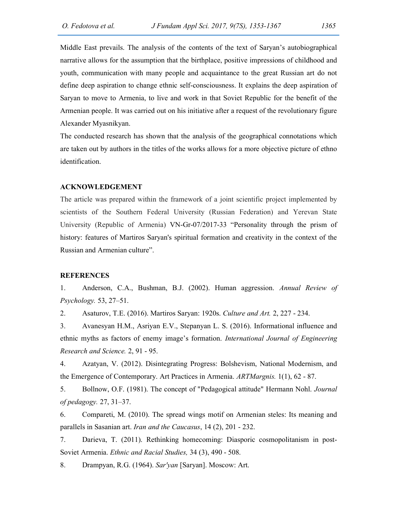Middle East prevails. The analysis of the contents of the text of Saryan's autobiographical narrative allows for the assumption that the birthplace, positive impressions of childhood and youth, communication with many people and acquaintance to the great Russian art do not define deep aspiration to change ethnic self-consciousness. It explains the deep aspiration of Saryan to move to Armenia, to live and work in that Soviet Republic for the benefit of the Armenian people. It was carried out on his initiative after a request of the revolutionary figure Alexander Myasnikyan.

The conducted research has shown that the analysis of the geographical connotations which are taken out by authors in the titles of the works allows for a more objective picture of ethno identification.

## ACKNOWLEDGEMENT

The article was prepared within the framework of a joint scientific project implemented by scientists of the Southern Federal University (Russian Federation) and Yerevan State University (Republic of Armenia) VN-Gr-07/2017-33 "Personality through the prism of history: features of Martiros Saryan's spiritual formation and creativity in the context of the Russian and Armenian culture".

## REFERENCES

1. Anderson, C.A., Bushman, B.J. (2002). Human aggression. Annual Review of Psychology. 53, 27–51.

2. Asaturov, T.E. (2016). Martiros Saryan: 1920s. Culture and Art. 2, 227 - 234.

3. Avanesyan H.M., Asriyan E.V., Stepanyan L. S. (2016). Informational influence and ethnic myths as factors of enemy image's formation. International Journal of Engineering Research and Science. 2, 91 - 95.

4. Azatyan, V. (2012). Disintegrating Progress: Bolshevism, National Modernism, and the Emergence of Contemporary. Art Practices in Armenia. ARTMargnis. 1(1), 62 - 87.

5. Bollnow, O.F. (1981). The concept of "Pedagogical attitude" Hermann Nohl. Journal of pedagogy. 27, 31–37.

6. Compareti, M. (2010). The spread wings motif on Armenian steles: Its meaning and parallels in Sasanian art. Iran and the Caucasus, 14 (2), 201 - 232.

7. Darieva, T. (2011). Rethinking homecoming: Diasporic cosmopolitanism in post-Soviet Armenia. Ethnic and Racial Studies, 34 (3), 490 - 508.

8. Drampyan, R.G. (1964). Sar'yan [Saryan]. Moscow: Art.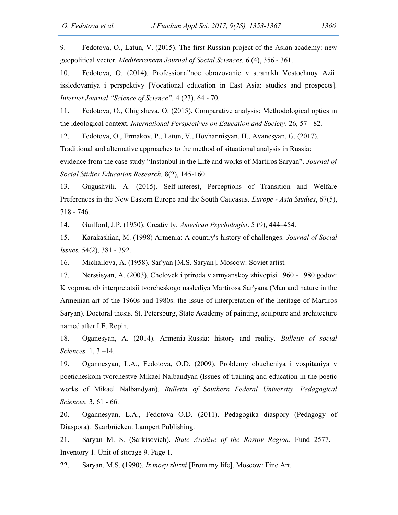9. Fedotova, O., Latun, V. (2015). The first Russian project of the Asian academy: new geopolitical vector. Mediterranean Journal of Social Sciences. 6 (4), 356 - 361.

10. Fedotova, O. (2014). Professional'noe obrazovanie v stranakh Vostochnoy Azii: issledovaniya i perspektivy [Vocational education in East Asia: studies and prospects]. Internet Journal "Science of Science". 4 (23), 64 - 70.

11. Fedotova, O., Chigisheva, O. (2015). Comparative analysis: Methodological optics in the ideological context. International Perspectives on Education and Society. 26, 57 - 82.

12. Fedotova, O., Ermakov, P., Latun, V., Hovhannisyan, H., Avanesyan, G. (2017).

Traditional and alternative approaches to the method of situational analysis in Russia:

evidence from the case study "Instanbul in the Life and works of Martiros Saryan". Journal of Social Stidies Education Research. 8(2), 145-160.

13. Gugushvili, A. (2015). Self-interest, Perceptions of Transition and Welfare Preferences in the New Eastern Europe and the South Caucasus. *Europe - Asia Studies*, 67(5), 718 - 746.

14. Guilford, J.P. (1950). Creativity. American Psychologist. 5 (9), 444–454.

15. Karakashian, M. (1998) Armenia: A country's history of challenges. Journal of Social Issues. 54(2), 381 - 392.

16. Michailova, A. (1958). Sar'yan [М.S. Saryan]. Moscow: Soviet artist.

17. Nerssisyan, A. (2003). Chelovek i priroda v armyanskoy zhivopisi 1960 - 1980 godov: K voprosu ob interpretatsii tvorcheskogo naslediya Martirosa Sar'yana (Man and nature in the Armenian art of the 1960s and 1980s: the issue of interpretation of the heritage of Martiros Saryan). Doctoral thesis. St. Petersburg, State Academy of painting, sculpture and architecture named after I.E. Repin.

18. Oganesyan, А. (2014). Armenia-Russia: history and reality. Bulletin of social Sciences. 1, 3 –14.

19. Ogannesyan, L.A., Fedotova, O.D. (2009). Problemy obucheniya i vospitaniya v poeticheskom tvorchestve Mikael Nalbandyan (Issues of training and education in the poetic works of Mikael Nalbandyan). Bulletin of Southern Federal University. Pedagogical Sciences. 3, 61 - 66.

20. Ogannesyan, L.A., Fedotova O.D. (2011). Pedagogika diaspory (Pedagogy of Diaspora). Saarbrücken: Lampert Publishing.

21. Saryan M. S. (Sarkisovich). State Archive of the Rostov Region. Fund 2577. - Inventory 1. Unit of storage 9. Page 1.

22. Saryan, M.S. (1990). Iz moey zhizni [From my life]. Moscow: Fine Art.